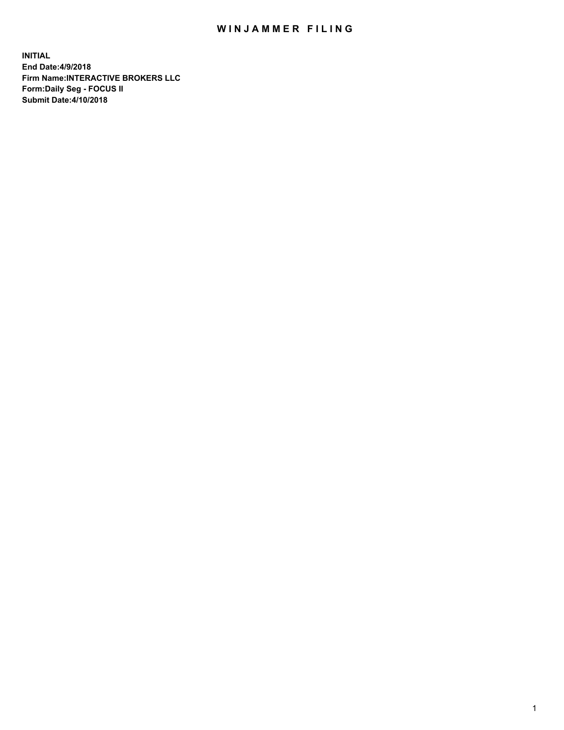## WIN JAMMER FILING

**INITIAL End Date:4/9/2018 Firm Name:INTERACTIVE BROKERS LLC Form:Daily Seg - FOCUS II Submit Date:4/10/2018**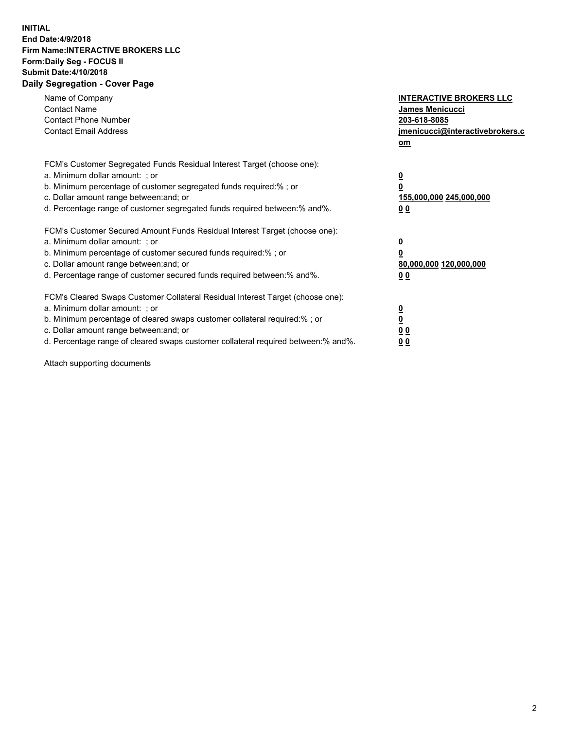## **INITIAL End Date:4/9/2018 Firm Name:INTERACTIVE BROKERS LLC Form:Daily Seg - FOCUS II Submit Date:4/10/2018 Daily Segregation - Cover Page**

| Name of Company<br><b>Contact Name</b><br><b>Contact Phone Number</b><br><b>Contact Email Address</b>                                                                                                                                                                                                                          | <b>INTERACTIVE BROKERS LLC</b><br><b>James Menicucci</b><br>203-618-8085<br>jmenicucci@interactivebrokers.c<br>om |
|--------------------------------------------------------------------------------------------------------------------------------------------------------------------------------------------------------------------------------------------------------------------------------------------------------------------------------|-------------------------------------------------------------------------------------------------------------------|
| FCM's Customer Segregated Funds Residual Interest Target (choose one):<br>a. Minimum dollar amount: ; or<br>b. Minimum percentage of customer segregated funds required:% ; or<br>c. Dollar amount range between: and; or<br>d. Percentage range of customer segregated funds required between: % and %.                       | $\overline{\mathbf{0}}$<br>0<br>155,000,000 245,000,000<br>00                                                     |
| FCM's Customer Secured Amount Funds Residual Interest Target (choose one):<br>a. Minimum dollar amount: ; or<br>b. Minimum percentage of customer secured funds required:%; or<br>c. Dollar amount range between: and; or<br>d. Percentage range of customer secured funds required between: % and %.                          | $\overline{\mathbf{0}}$<br>0<br>80,000,000 120,000,000<br>00                                                      |
| FCM's Cleared Swaps Customer Collateral Residual Interest Target (choose one):<br>a. Minimum dollar amount: ; or<br>b. Minimum percentage of cleared swaps customer collateral required:% ; or<br>c. Dollar amount range between: and; or<br>d. Percentage range of cleared swaps customer collateral required between:% and%. | $\overline{\mathbf{0}}$<br>$\overline{\mathbf{0}}$<br>00<br>0 <sub>0</sub>                                        |

Attach supporting documents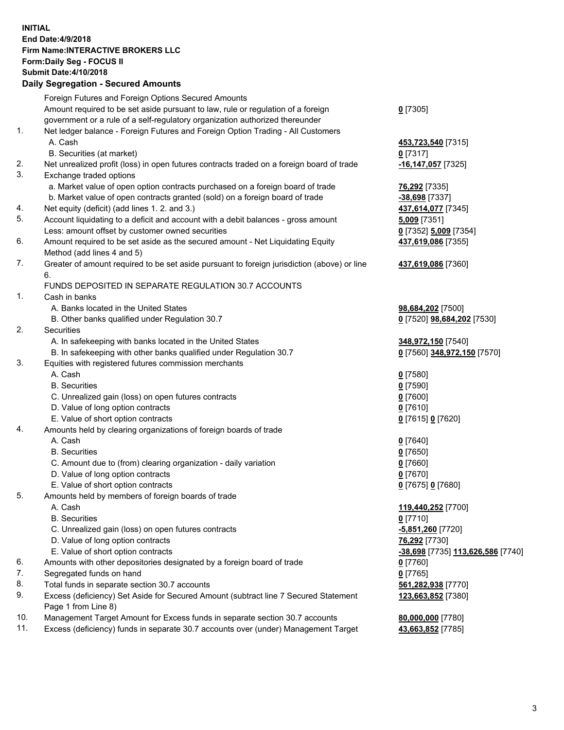## **INITIAL End Date:4/9/2018 Firm Name:INTERACTIVE BROKERS LLC Form:Daily Seg - FOCUS II Submit Date:4/10/2018 Daily Segregation - Secured Amounts**

|     | Foreign Futures and Foreign Options Secured Amounts                                         |                                   |
|-----|---------------------------------------------------------------------------------------------|-----------------------------------|
|     | Amount required to be set aside pursuant to law, rule or regulation of a foreign            | $0$ [7305]                        |
|     | government or a rule of a self-regulatory organization authorized thereunder                |                                   |
| 1.  | Net ledger balance - Foreign Futures and Foreign Option Trading - All Customers             |                                   |
|     | A. Cash                                                                                     | 453,723,540 [7315]                |
|     | B. Securities (at market)                                                                   | $0$ [7317]                        |
| 2.  | Net unrealized profit (loss) in open futures contracts traded on a foreign board of trade   | -16,147,057 [7325]                |
| 3.  | Exchange traded options                                                                     |                                   |
|     | a. Market value of open option contracts purchased on a foreign board of trade              | 76,292 [7335]                     |
|     |                                                                                             |                                   |
|     | b. Market value of open contracts granted (sold) on a foreign board of trade                | -38,698 [7337]                    |
| 4.  | Net equity (deficit) (add lines 1.2. and 3.)                                                | 437,614,077 [7345]                |
| 5.  | Account liquidating to a deficit and account with a debit balances - gross amount           | $5,009$ [7351]                    |
|     | Less: amount offset by customer owned securities                                            | 0 [7352] 5,009 [7354]             |
| 6.  | Amount required to be set aside as the secured amount - Net Liquidating Equity              | 437,619,086 [7355]                |
|     | Method (add lines 4 and 5)                                                                  |                                   |
| 7.  | Greater of amount required to be set aside pursuant to foreign jurisdiction (above) or line | 437,619,086 [7360]                |
|     | 6.                                                                                          |                                   |
|     | FUNDS DEPOSITED IN SEPARATE REGULATION 30.7 ACCOUNTS                                        |                                   |
| 1.  | Cash in banks                                                                               |                                   |
|     | A. Banks located in the United States                                                       | 98,684,202 [7500]                 |
|     | B. Other banks qualified under Regulation 30.7                                              | 0 [7520] 98,684,202 [7530]        |
| 2.  | Securities                                                                                  |                                   |
|     | A. In safekeeping with banks located in the United States                                   | 348,972,150 [7540]                |
|     | B. In safekeeping with other banks qualified under Regulation 30.7                          | 0 [7560] 348,972,150 [7570]       |
| 3.  | Equities with registered futures commission merchants                                       |                                   |
|     | A. Cash                                                                                     | $0$ [7580]                        |
|     | <b>B.</b> Securities                                                                        | $0$ [7590]                        |
|     | C. Unrealized gain (loss) on open futures contracts                                         | $0$ [7600]                        |
|     | D. Value of long option contracts                                                           | $0$ [7610]                        |
|     | E. Value of short option contracts                                                          | 0 [7615] 0 [7620]                 |
| 4.  | Amounts held by clearing organizations of foreign boards of trade                           |                                   |
|     | A. Cash                                                                                     | $0$ [7640]                        |
|     | <b>B.</b> Securities                                                                        | $0$ [7650]                        |
|     |                                                                                             |                                   |
|     | C. Amount due to (from) clearing organization - daily variation                             | $0$ [7660]                        |
|     | D. Value of long option contracts                                                           | $0$ [7670]                        |
|     | E. Value of short option contracts                                                          | 0 [7675] 0 [7680]                 |
| 5.  | Amounts held by members of foreign boards of trade                                          |                                   |
|     | A. Cash                                                                                     | 119,440,252 [7700]                |
|     | <b>B.</b> Securities                                                                        | $0$ [7710]                        |
|     | C. Unrealized gain (loss) on open futures contracts                                         | -5,851,260 <sup>[7720]</sup>      |
|     | D. Value of long option contracts                                                           | 76,292 [7730]                     |
|     | E. Value of short option contracts                                                          | -38,698 [7735] 113,626,586 [7740] |
| 6.  | Amounts with other depositories designated by a foreign board of trade                      | $0$ [7760]                        |
| 7.  | Segregated funds on hand                                                                    | $0$ [7765]                        |
| 8.  | Total funds in separate section 30.7 accounts                                               | 561,282,938 [7770]                |
| 9.  | Excess (deficiency) Set Aside for Secured Amount (subtract line 7 Secured Statement         | 123,663,852 [7380]                |
|     | Page 1 from Line 8)                                                                         |                                   |
| 10. | Management Target Amount for Excess funds in separate section 30.7 accounts                 | 80,000,000 [7780]                 |
| 11. | Excess (deficiency) funds in separate 30.7 accounts over (under) Management Target          | 43,663,852 [7785]                 |
|     |                                                                                             |                                   |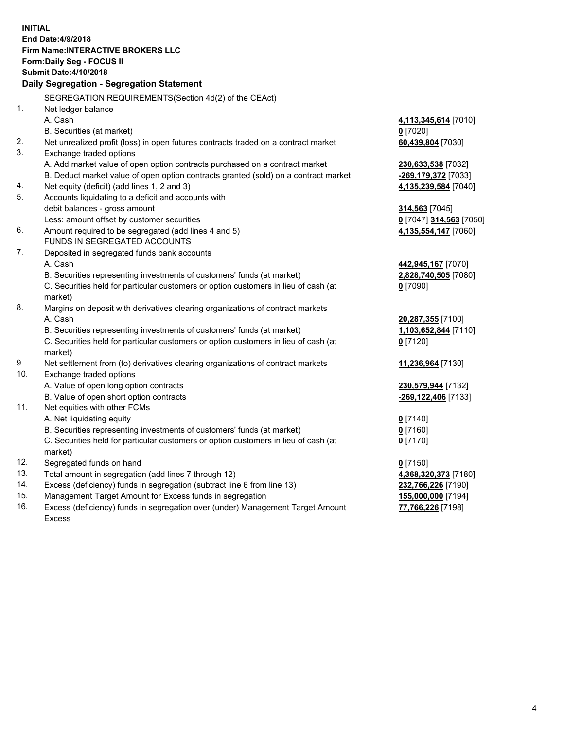**INITIAL End Date:4/9/2018 Firm Name:INTERACTIVE BROKERS LLC Form:Daily Seg - FOCUS II Submit Date:4/10/2018 Daily Segregation - Segregation Statement** SEGREGATION REQUIREMENTS(Section 4d(2) of the CEAct) 1. Net ledger balance A. Cash **4,113,345,614** [7010] B. Securities (at market) **0** [7020] 2. Net unrealized profit (loss) in open futures contracts traded on a contract market **60,439,804** [7030] 3. Exchange traded options A. Add market value of open option contracts purchased on a contract market **230,633,538** [7032] B. Deduct market value of open option contracts granted (sold) on a contract market **-269,179,372** [7033] 4. Net equity (deficit) (add lines 1, 2 and 3) **4,135,239,584** [7040] 5. Accounts liquidating to a deficit and accounts with debit balances - gross amount **314,563** [7045] Less: amount offset by customer securities **0** [7047] **314,563** [7050] 6. Amount required to be segregated (add lines 4 and 5) **4,135,554,147** [7060] FUNDS IN SEGREGATED ACCOUNTS 7. Deposited in segregated funds bank accounts A. Cash **442,945,167** [7070] B. Securities representing investments of customers' funds (at market) **2,828,740,505** [7080] C. Securities held for particular customers or option customers in lieu of cash (at market) **0** [7090] 8. Margins on deposit with derivatives clearing organizations of contract markets A. Cash **20,287,355** [7100] B. Securities representing investments of customers' funds (at market) **1,103,652,844** [7110] C. Securities held for particular customers or option customers in lieu of cash (at market) **0** [7120] 9. Net settlement from (to) derivatives clearing organizations of contract markets **11,236,964** [7130] 10. Exchange traded options A. Value of open long option contracts **230,579,944** [7132] B. Value of open short option contracts **-269,122,406** [7133] 11. Net equities with other FCMs A. Net liquidating equity **0** [7140] B. Securities representing investments of customers' funds (at market) **0** [7160] C. Securities held for particular customers or option customers in lieu of cash (at market) **0** [7170] 12. Segregated funds on hand **0** [7150] 13. Total amount in segregation (add lines 7 through 12) **4,368,320,373** [7180] 14. Excess (deficiency) funds in segregation (subtract line 6 from line 13) **232,766,226** [7190] 15. Management Target Amount for Excess funds in segregation **155,000,000** [7194]

16. Excess (deficiency) funds in segregation over (under) Management Target Amount Excess

**77,766,226** [7198]